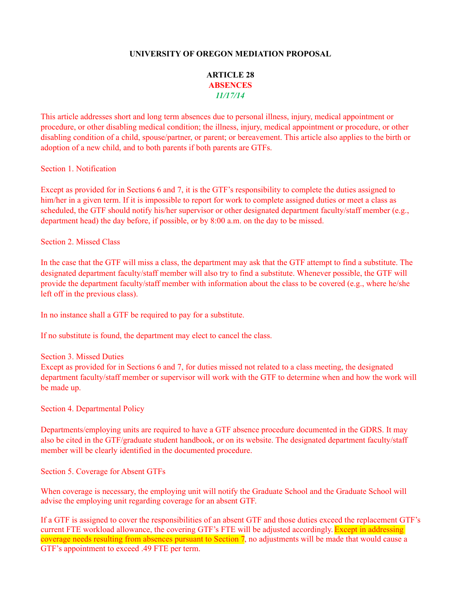## **UNIVERSITY OF OREGON MEDIATION PROPOSAL**

## **ARTICLE 28 ABSENCES** *11/17/14*

This article addresses short and long term absences due to personal illness, injury, medical appointment or procedure, or other disabling medical condition; the illness, injury, medical appointment or procedure, or other disabling condition of a child, spouse/partner, or parent; or bereavement. This article also applies to the birth or adoption of a new child, and to both parents if both parents are GTFs.

Section 1. Notification

Except as provided for in Sections 6 and 7, it is the GTF's responsibility to complete the duties assigned to him/her in a given term. If it is impossible to report for work to complete assigned duties or meet a class as scheduled, the GTF should notify his/her supervisor or other designated department faculty/staff member (e.g., department head) the day before, if possible, or by 8:00 a.m. on the day to be missed.

Section 2. Missed Class

In the case that the GTF will miss a class, the department may ask that the GTF attempt to find a substitute. The designated department faculty/staff member will also try to find a substitute. Whenever possible, the GTF will provide the department faculty/staff member with information about the class to be covered (e.g., where he/she left off in the previous class).

In no instance shall a GTF be required to pay for a substitute.

If no substitute is found, the department may elect to cancel the class.

Section 3. Missed Duties

Except as provided for in Sections 6 and 7, for duties missed not related to a class meeting, the designated department faculty/staff member or supervisor will work with the GTF to determine when and how the work will be made up.

Section 4. Departmental Policy

Departments/employing units are required to have a GTF absence procedure documented in the GDRS. It may also be cited in the GTF/graduate student handbook, or on its website. The designated department faculty/staff member will be clearly identified in the documented procedure.

Section 5. Coverage for Absent GTFs

When coverage is necessary, the employing unit will notify the Graduate School and the Graduate School will advise the employing unit regarding coverage for an absent GTF.

If a GTF is assigned to cover the responsibilities of an absent GTF and those duties exceed the replacement GTF's current FTE workload allowance, the covering GTF's FTE will be adjusted accordingly. Except in addressing coverage needs resulting from absences pursuant to Section 7, no adjustments will be made that would cause a GTF's appointment to exceed .49 FTE per term.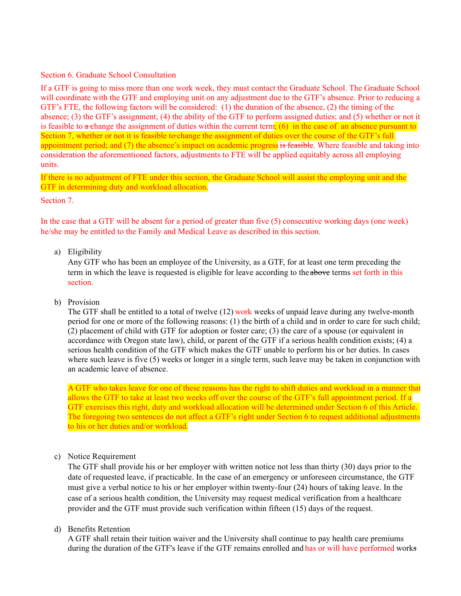Section 6. Graduate School Consultation

If a GTF is going to miss more than one work week, they must contact the Graduate School. The Graduate School will coordinate with the GTF and employing unit on any adjustment due to the GTF's absence. Prior to reducing a GTF's FTE, the following factors will be considered: (1) the duration of the absence, (2) the timing of the absence; (3) the GTF's assignment; (4) the ability of the GTF to perform assigned duties; and (5) whether or not it is feasible to  $\alpha$ -change the assignment of duties within the current term; (6) in the case of an absence pursuant to Section 7, whether or not it is feasible to change the assignment of duties over the course of the GTF's full appointment period; and (7) the absence's impact on academic progress is feasible. Where feasible and taking into consideration the aforementioned factors, adjustments to FTE will be applied equitably across all employing units.

If there is no adjustment of FTE under this section, the Graduate School will assist the employing unit and the GTF in determining duty and workload allocation.

Section 7.

In the case that a GTF will be absent for a period of greater than five (5) consecutive working days (one week) he/she may be entitled to the Family and Medical Leave as described in this section.

a) Eligibility

Any GTF who has been an employee of the University, as a GTF, for at least one term preceding the term in which the leave is requested is eligible for leave according to the above terms set forth in this section.

b) Provision

The GTF shall be entitled to a total of twelve (12) work weeks of unpaid leave during any twelve-month period for one or more of the following reasons: (1) the birth of a child and in order to care for such child; (2) placement of child with GTF for adoption or foster care; (3) the care of a spouse (or equivalent in accordance with Oregon state law), child, or parent of the GTF if a serious health condition exists; (4) a serious health condition of the GTF which makes the GTF unable to perform his or her duties. In cases where such leave is five (5) weeks or longer in a single term, such leave may be taken in conjunction with an academic leave of absence.

A GTF who takes leave for one of these reasons has the right to shift duties and workload in a manner that allows the GTF to take at least two weeks off over the course of the GTF's full appointment period. If a GTF exercises this right, duty and workload allocation will be determined under Section 6 of this Article. The foregoing two sentences do not affect a GTF's right under Section 6 to request additional adjustments to his or her duties and/or workload.

c) Notice Requirement

The GTF shall provide his or her employer with written notice not less than thirty (30) days prior to the date of requested leave, if practicable. In the case of an emergency or unforeseen circumstance, the GTF must give a verbal notice to his or her employer within twenty-four (24) hours of taking leave. In the case of a serious health condition, the University may request medical verification from a healthcare provider and the GTF must provide such verification within fifteen (15) days of the request.

d) Benefits Retention

A GTF shall retain their tuition waiver and the University shall continue to pay health care premiums during the duration of the GTF's leave if the GTF remains enrolled and has or will have performed works